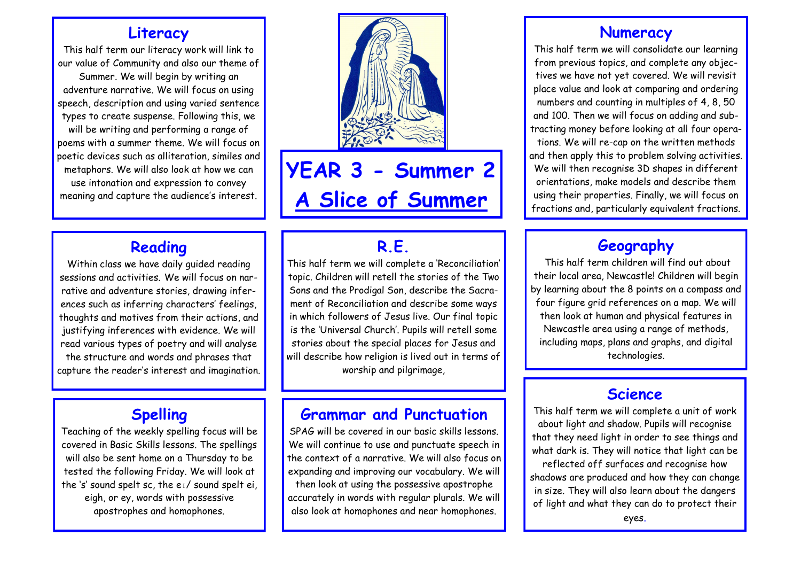#### **Literacy**

This half term our literacy work will link to our value of Community and also our theme of Summer. We will begin by writing an adventure narrative. We will focus on using speech, description and using varied sentence types to create suspense. Following this, we will be writing and performing a range of poems with a summer theme. We will focus on poetic devices such as alliteration, similes and metaphors. We will also look at how we can use intonation and expression to convey meaning and capture the audience's interest.

#### **Reading**

Within class we have daily guided reading sessions and activities. We will focus on narrative and adventure stories, drawing inferences such as inferring characters' feelings, thoughts and motives from their actions, and justifying inferences with evidence. We will read various types of poetry and will analyse the structure and words and phrases that capture the reader's interest and imagination.

#### **Spelling**

Teaching of the weekly spelling focus will be covered in Basic Skills lessons. The spellings will also be sent home on a Thursday to be tested the following Friday. We will look at the 's' sound spelt sc, the eɪ/ sound spelt ei, eigh, or ey, words with possessive apostrophes and homophones.



**YEAR 3 - Summer 2 A Slice of Summer**

#### **R.E.**

This half term we will complete a 'Reconciliation' topic. Children will retell the stories of the Two Sons and the Prodigal Son, describe the Sacrament of Reconciliation and describe some ways in which followers of Jesus live. Our final topic is the 'Universal Church'. Pupils will retell some stories about the special places for Jesus and will describe how religion is lived out in terms of worship and pilgrimage,

#### **Grammar and Punctuation**

SPAG will be covered in our basic skills lessons. We will continue to use and punctuate speech in the context of a narrative. We will also focus on expanding and improving our vocabulary. We will then look at using the possessive apostrophe accurately in words with regular plurals. We will also look at homophones and near homophones.

#### **Numeracy**

This half term we will consolidate our learning from previous topics, and complete any objectives we have not yet covered. We will revisit place value and look at comparing and ordering numbers and counting in multiples of 4, 8, 50 and 100. Then we will focus on adding and subtracting money before looking at all four operations. We will re-cap on the written methods and then apply this to problem solving activities. We will then recognise 3D shapes in different orientations, make models and describe them using their properties. Finally, we will focus on fractions and, particularly equivalent fractions.

#### **Geography**

This half term children will find out about their local area, Newcastle! Children will begin by learning about the 8 points on a compass and four figure grid references on a map. We will then look at human and physical features in Newcastle area using a range of methods, including maps, plans and graphs, and digital technologies.

#### **Science**

This half term we will complete a unit of work about light and shadow. Pupils will recognise that they need light in order to see things and what dark is. They will notice that light can be reflected off surfaces and recognise how shadows are produced and how they can change in size. They will also learn about the dangers of light and what they can do to protect their

eyes.